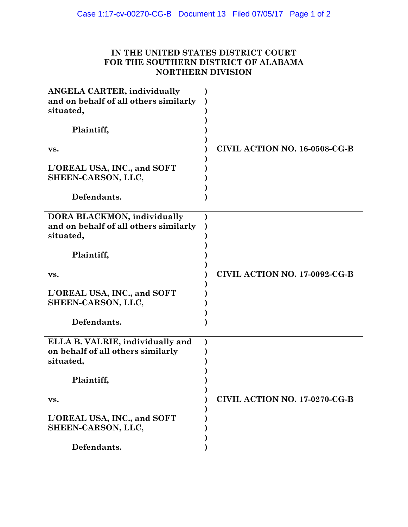## **IN THE UNITED STATES DISTRICT COURT FOR THE SOUTHERN DISTRICT OF ALABAMA NORTHERN DIVISION**

| <b>ANGELA CARTER, individually</b><br>and on behalf of all others similarly<br>situated, |                                      |
|------------------------------------------------------------------------------------------|--------------------------------------|
| Plaintiff,                                                                               |                                      |
| VS.                                                                                      | <b>CIVIL ACTION NO. 16-0508-CG-B</b> |
| L'OREAL USA, INC., and SOFT<br>SHEEN-CARSON, LLC,                                        |                                      |
| Defendants.                                                                              |                                      |
| <b>DORA BLACKMON, individually</b><br>and on behalf of all others similarly<br>situated, |                                      |
| Plaintiff,                                                                               |                                      |
| VS.                                                                                      | CIVIL ACTION NO. 17-0092-CG-B        |
| L'OREAL USA, INC., and SOFT<br>SHEEN-CARSON, LLC,                                        |                                      |
| Defendants.                                                                              |                                      |
| ELLA B. VALRIE, individually and<br>on behalf of all others similarly<br>situated,       |                                      |
| Plaintiff,                                                                               |                                      |
| VS.                                                                                      | <b>CIVIL ACTION NO. 17-0270-CG-B</b> |
| L'OREAL USA, INC., and SOFT<br>SHEEN-CARSON, LLC,                                        |                                      |
| Defendants.                                                                              |                                      |